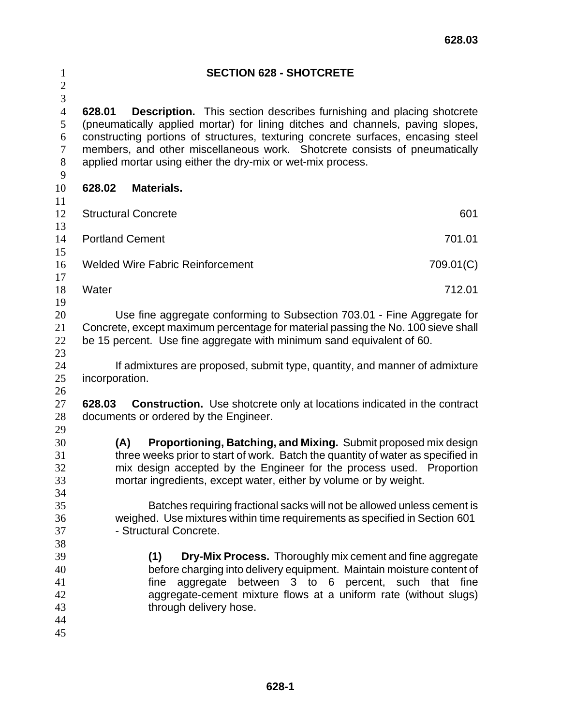| $\mathbf{1}$<br>$\overline{c}$             |                                                                                                                                                                                                                                      |                                         | <b>SECTION 628 - SHOTCRETE</b>                                             |                                                                                                                                                                                                                                                                   |  |
|--------------------------------------------|--------------------------------------------------------------------------------------------------------------------------------------------------------------------------------------------------------------------------------------|-----------------------------------------|----------------------------------------------------------------------------|-------------------------------------------------------------------------------------------------------------------------------------------------------------------------------------------------------------------------------------------------------------------|--|
| $\overline{3}$<br>$\overline{4}$<br>5<br>6 | 628.01                                                                                                                                                                                                                               |                                         |                                                                            | <b>Description.</b> This section describes furnishing and placing shotcrete<br>(pneumatically applied mortar) for lining ditches and channels, paving slopes,<br>constructing portions of structures, texturing concrete surfaces, encasing steel                 |  |
| $\boldsymbol{7}$<br>8<br>9                 |                                                                                                                                                                                                                                      |                                         | applied mortar using either the dry-mix or wet-mix process.                | members, and other miscellaneous work. Shotcrete consists of pneumatically                                                                                                                                                                                        |  |
| 10                                         | 628.02                                                                                                                                                                                                                               | <b>Materials.</b>                       |                                                                            |                                                                                                                                                                                                                                                                   |  |
| 11<br>12<br>13                             | <b>Structural Concrete</b>                                                                                                                                                                                                           |                                         |                                                                            | 601                                                                                                                                                                                                                                                               |  |
| 14                                         | <b>Portland Cement</b>                                                                                                                                                                                                               |                                         |                                                                            | 701.01                                                                                                                                                                                                                                                            |  |
| 15<br>16<br>17                             |                                                                                                                                                                                                                                      | <b>Welded Wire Fabric Reinforcement</b> |                                                                            | 709.01(C)                                                                                                                                                                                                                                                         |  |
| 18<br>19                                   | Water                                                                                                                                                                                                                                |                                         |                                                                            | 712.01                                                                                                                                                                                                                                                            |  |
| 20<br>21<br>22<br>23                       | Use fine aggregate conforming to Subsection 703.01 - Fine Aggregate for<br>Concrete, except maximum percentage for material passing the No. 100 sieve shall<br>be 15 percent. Use fine aggregate with minimum sand equivalent of 60. |                                         |                                                                            |                                                                                                                                                                                                                                                                   |  |
| 24<br>25<br>26                             | incorporation.                                                                                                                                                                                                                       |                                         |                                                                            | If admixtures are proposed, submit type, quantity, and manner of admixture                                                                                                                                                                                        |  |
| 27<br>28<br>29                             | 628.03                                                                                                                                                                                                                               | documents or ordered by the Engineer.   |                                                                            | <b>Construction.</b> Use shotcrete only at locations indicated in the contract                                                                                                                                                                                    |  |
| 30<br>31<br>32<br>33                       | (A)                                                                                                                                                                                                                                  |                                         | mortar ingredients, except water, either by volume or by weight.           | Proportioning, Batching, and Mixing. Submit proposed mix design<br>three weeks prior to start of work. Batch the quantity of water as specified in<br>mix design accepted by the Engineer for the process used. Proportion                                        |  |
| 34<br>35<br>36<br>37<br>38                 |                                                                                                                                                                                                                                      | - Structural Concrete.                  | weighed. Use mixtures within time requirements as specified in Section 601 | Batches requiring fractional sacks will not be allowed unless cement is                                                                                                                                                                                           |  |
| 39<br>40<br>41<br>42<br>43<br>44<br>45     |                                                                                                                                                                                                                                      | (1)<br>fine<br>through delivery hose.   |                                                                            | <b>Dry-Mix Process.</b> Thoroughly mix cement and fine aggregate<br>before charging into delivery equipment. Maintain moisture content of<br>aggregate between 3 to 6 percent, such that fine<br>aggregate-cement mixture flows at a uniform rate (without slugs) |  |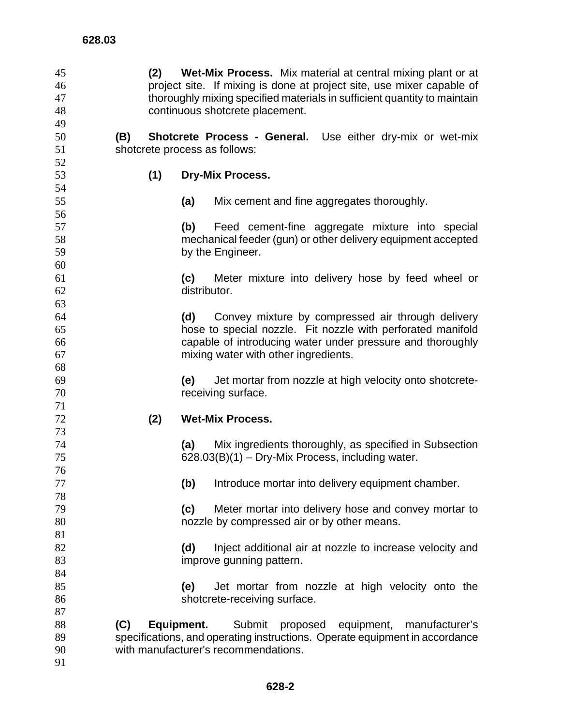| 45 | (2) | <b>Wet-Mix Process.</b> Mix material at central mixing plant or at          |
|----|-----|-----------------------------------------------------------------------------|
| 46 |     | project site. If mixing is done at project site, use mixer capable of       |
| 47 |     | thoroughly mixing specified materials in sufficient quantity to maintain    |
| 48 |     | continuous shotcrete placement.                                             |
| 49 |     |                                                                             |
| 50 | (B) | Shotcrete Process - General.<br>Use either dry-mix or wet-mix               |
| 51 |     | shotcrete process as follows:                                               |
| 52 |     |                                                                             |
| 53 | (1) | <b>Dry-Mix Process.</b>                                                     |
| 54 |     |                                                                             |
| 55 |     | (a)<br>Mix cement and fine aggregates thoroughly.                           |
| 56 |     |                                                                             |
| 57 |     | (b)<br>Feed cement-fine aggregate mixture into special                      |
| 58 |     | mechanical feeder (gun) or other delivery equipment accepted                |
| 59 |     | by the Engineer.                                                            |
| 60 |     |                                                                             |
| 61 |     | (c)<br>Meter mixture into delivery hose by feed wheel or                    |
| 62 |     | distributor.                                                                |
| 63 |     |                                                                             |
| 64 |     | (d)<br>Convey mixture by compressed air through delivery                    |
| 65 |     | hose to special nozzle. Fit nozzle with perforated manifold                 |
| 66 |     | capable of introducing water under pressure and thoroughly                  |
| 67 |     | mixing water with other ingredients.                                        |
| 68 |     |                                                                             |
| 69 |     | Jet mortar from nozzle at high velocity onto shotcrete-<br>(e)              |
| 70 |     | receiving surface.                                                          |
| 71 |     |                                                                             |
| 72 | (2) | <b>Wet-Mix Process.</b>                                                     |
| 73 |     |                                                                             |
| 74 |     | (a)<br>Mix ingredients thoroughly, as specified in Subsection               |
| 75 |     | $628.03(B)(1)$ – Dry-Mix Process, including water.                          |
| 76 |     |                                                                             |
| 77 |     | Introduce mortar into delivery equipment chamber.<br>(b)                    |
| 78 |     |                                                                             |
| 79 |     | Meter mortar into delivery hose and convey mortar to<br>(c)                 |
| 80 |     | nozzle by compressed air or by other means.                                 |
| 81 |     |                                                                             |
| 82 |     | (d)<br>Inject additional air at nozzle to increase velocity and             |
| 83 |     | improve gunning pattern.                                                    |
| 84 |     |                                                                             |
| 85 |     | Jet mortar from nozzle at high velocity onto the<br>(e)                     |
| 86 |     | shotcrete-receiving surface.                                                |
| 87 |     |                                                                             |
| 88 | (C) | Equipment.<br>proposed equipment,<br>Submit<br>manufacturer's               |
| 89 |     | specifications, and operating instructions. Operate equipment in accordance |
| 90 |     | with manufacturer's recommendations.                                        |
| 91 |     |                                                                             |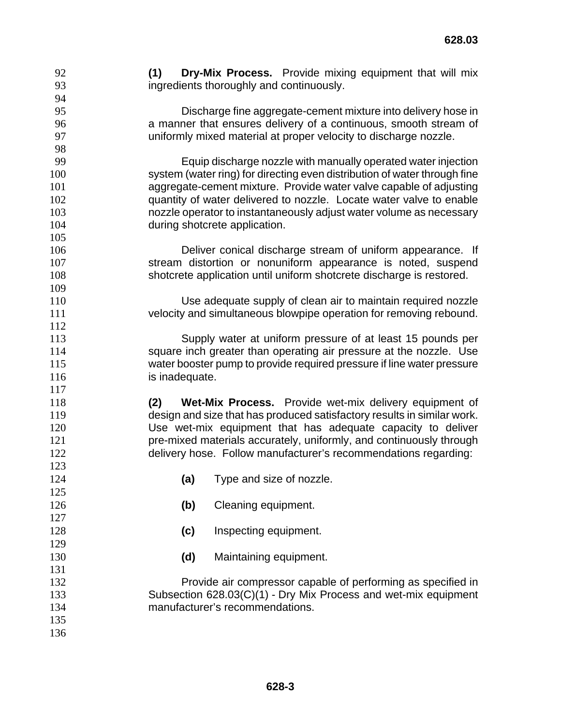**(1) Dry-Mix Process.** Provide mixing equipment that will mix ingredients thoroughly and continuously.

Discharge fine aggregate-cement mixture into delivery hose in a manner that ensures delivery of a continuous, smooth stream of uniformly mixed material at proper velocity to discharge nozzle.

Equip discharge nozzle with manually operated water injection system (water ring) for directing even distribution of water through fine aggregate-cement mixture. Provide water valve capable of adjusting quantity of water delivered to nozzle. Locate water valve to enable nozzle operator to instantaneously adjust water volume as necessary 104 during shotcrete application.

Deliver conical discharge stream of uniform appearance. If stream distortion or nonuniform appearance is noted, suspend shotcrete application until uniform shotcrete discharge is restored.

Use adequate supply of clean air to maintain required nozzle velocity and simultaneous blowpipe operation for removing rebound.

Supply water at uniform pressure of at least 15 pounds per square inch greater than operating air pressure at the nozzle. Use water booster pump to provide required pressure if line water pressure 116 is inadequate.

**(2) Wet-Mix Process.** Provide wet-mix delivery equipment of design and size that has produced satisfactory results in similar work. Use wet-mix equipment that has adequate capacity to deliver **pre-mixed materials accurately, uniformly, and continuously through** delivery hose. Follow manufacturer's recommendations regarding:

- **(a)** Type and size of nozzle.
- **(b)** Cleaning equipment.
- **(c)** Inspecting equipment.
- **(d)** Maintaining equipment.

Provide air compressor capable of performing as specified in Subsection 628.03(C)(1) - Dry Mix Process and wet-mix equipment manufacturer's recommendations.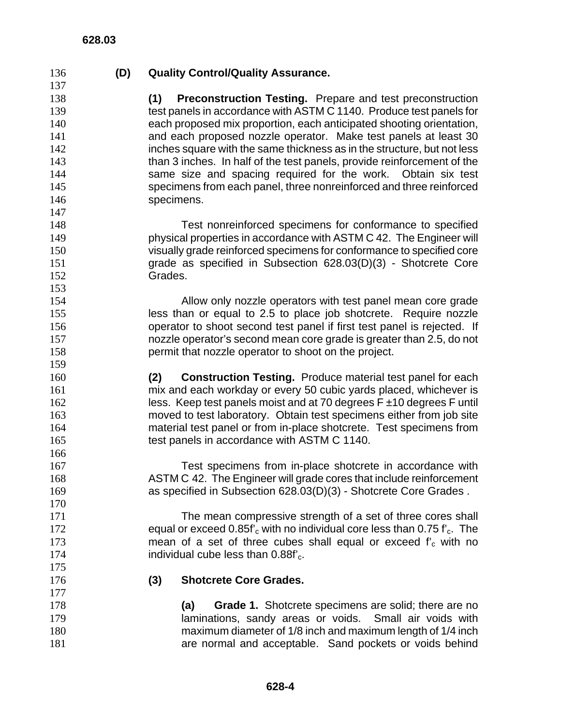**(D) Quality Control/Quality Assurance.**

**(1) Preconstruction Testing.** Prepare and test preconstruction test panels in accordance with ASTM C 1140. Produce test panels for each proposed mix proportion, each anticipated shooting orientation, **and each proposed nozzle operator.** Make test panels at least 30 inches square with the same thickness as in the structure, but not less than 3 inches. In half of the test panels, provide reinforcement of the same size and spacing required for the work. Obtain six test specimens from each panel, three nonreinforced and three reinforced 146 specimens.

Test nonreinforced specimens for conformance to specified physical properties in accordance with ASTM C 42. The Engineer will visually grade reinforced specimens for conformance to specified core grade as specified in Subsection 628.03(D)(3) - Shotcrete Core Grades.

Allow only nozzle operators with test panel mean core grade less than or equal to 2.5 to place job shotcrete. Require nozzle operator to shoot second test panel if first test panel is rejected. If nozzle operator's second mean core grade is greater than 2.5, do not permit that nozzle operator to shoot on the project.

**(2) Construction Testing.** Produce material test panel for each mix and each workday or every 50 cubic yards placed, whichever is 162 less. Keep test panels moist and at 70 degrees  $F \pm 10$  degrees F until moved to test laboratory. Obtain test specimens either from job site material test panel or from in-place shotcrete. Test specimens from test panels in accordance with ASTM C 1140.

Test specimens from in-place shotcrete in accordance with ASTM C 42. The Engineer will grade cores that include reinforcement as specified in Subsection 628.03(D)(3) - Shotcrete Core Grades .

The mean compressive strength of a set of three cores shall 172 equal or exceed  $0.85f'_{c}$  with no individual core less than  $0.75 f'_{c}$ . The 173 mean of a set of three cubes shall equal or exceed  $f'_{c}$  with no mean of a set of three cubes shall equal or exceed  $f_c$  with no 174 **individual cube less than 0.88f'**<sub>c</sub>.

- **(3) Shotcrete Core Grades.**
- **(a) Grade 1.** Shotcrete specimens are solid; there are no **laminations, sandy areas or voids.** Small air voids with maximum diameter of 1/8 inch and maximum length of 1/4 inch are normal and acceptable. Sand pockets or voids behind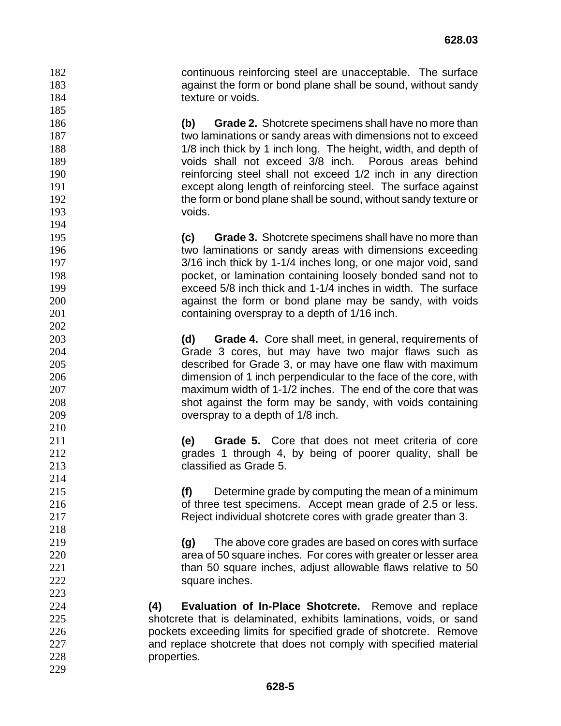continuous reinforcing steel are unacceptable. The surface against the form or bond plane shall be sound, without sandy 184 texture or voids.

**(b) Grade 2.** Shotcrete specimens shall have no more than two laminations or sandy areas with dimensions not to exceed 188 188 1/8 inch thick by 1 inch long. The height, width, and depth of voids shall not exceed 3/8 inch. Porous areas behind reinforcing steel shall not exceed 1/2 inch in any direction except along length of reinforcing steel. The surface against 192 the form or bond plane shall be sound, without sandy texture or voids.

**(c) Grade 3.** Shotcrete specimens shall have no more than two laminations or sandy areas with dimensions exceeding 3/16 inch thick by 1-1/4 inches long, or one major void, sand pocket, or lamination containing loosely bonded sand not to exceed 5/8 inch thick and 1-1/4 inches in width. The surface against the form or bond plane may be sandy, with voids containing overspray to a depth of 1/16 inch.

**(d) Grade 4.** Core shall meet, in general, requirements of Grade 3 cores, but may have two major flaws such as described for Grade 3, or may have one flaw with maximum dimension of 1 inch perpendicular to the face of the core, with maximum width of 1-1/2 inches. The end of the core that was shot against the form may be sandy, with voids containing overspray to a depth of 1/8 inch.

**(e) Grade 5.** Core that does not meet criteria of core grades 1 through 4, by being of poorer quality, shall be classified as Grade 5.

**(f)** Determine grade by computing the mean of a minimum **b** of three test specimens. Accept mean grade of 2.5 or less. Reject individual shotcrete cores with grade greater than 3.

**(g)** The above core grades are based on cores with surface area of 50 square inches. For cores with greater or lesser area 221 than 50 square inches, adjust allowable flaws relative to 50 222 square inches.

**(4) Evaluation of In-Place Shotcrete.** Remove and replace shotcrete that is delaminated, exhibits laminations, voids, or sand pockets exceeding limits for specified grade of shotcrete. Remove and replace shotcrete that does not comply with specified material properties.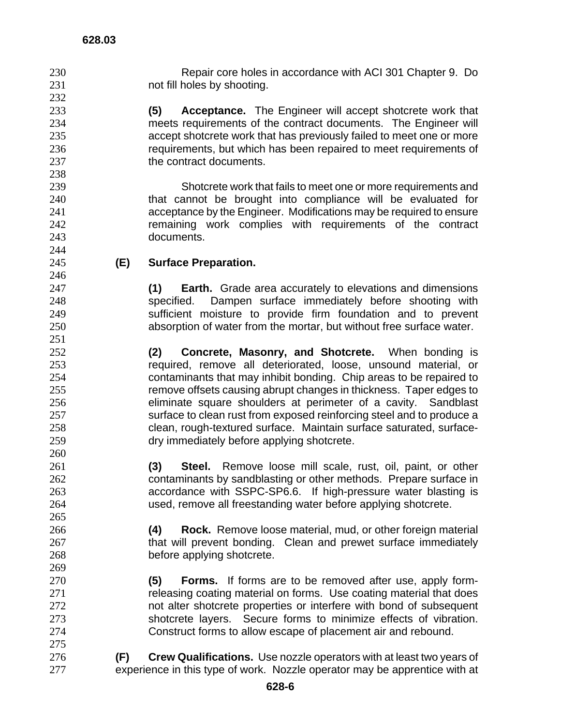Repair core holes in accordance with ACI 301 Chapter 9. Do not fill holes by shooting.

**(5) Acceptance.** The Engineer will accept shotcrete work that meets requirements of the contract documents. The Engineer will accept shotcrete work that has previously failed to meet one or more requirements, but which has been repaired to meet requirements of 237 the contract documents.

Shotcrete work that fails to meet one or more requirements and that cannot be brought into compliance will be evaluated for acceptance by the Engineer. Modifications may be required to ensure remaining work complies with requirements of the contract documents.

## **(E) Surface Preparation.**

**(1) Earth.** Grade area accurately to elevations and dimensions specified. Dampen surface immediately before shooting with sufficient moisture to provide firm foundation and to prevent absorption of water from the mortar, but without free surface water.

**(2) Concrete, Masonry, and Shotcrete.** When bonding is required, remove all deteriorated, loose, unsound material, or contaminants that may inhibit bonding. Chip areas to be repaired to remove offsets causing abrupt changes in thickness. Taper edges to eliminate square shoulders at perimeter of a cavity. Sandblast 257 surface to clean rust from exposed reinforcing steel and to produce a clean, rough-textured surface. Maintain surface saturated, surface-dry immediately before applying shotcrete.

**(3) Steel.** Remove loose mill scale, rust, oil, paint, or other contaminants by sandblasting or other methods. Prepare surface in accordance with SSPC-SP6.6. If high-pressure water blasting is used, remove all freestanding water before applying shotcrete.

**(4) Rock.** Remove loose material, mud, or other foreign material 267 that will prevent bonding. Clean and prewet surface immediately before applying shotcrete.

**(5) Forms.** If forms are to be removed after use, apply form-**releasing coating material on forms.** Use coating material that does **not alter shotcrete properties or interfere with bond of subsequent** shotcrete layers. Secure forms to minimize effects of vibration. Construct forms to allow escape of placement air and rebound.

**(F) Crew Qualifications.** Use nozzle operators with at least two years of experience in this type of work. Nozzle operator may be apprentice with at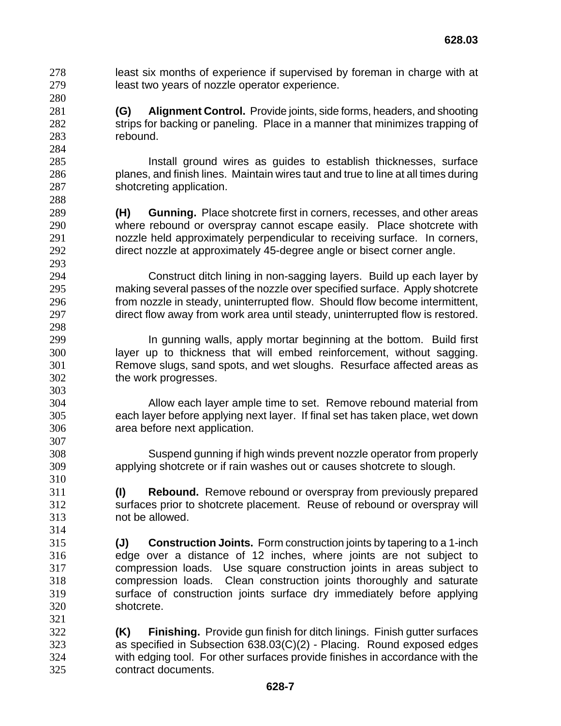least six months of experience if supervised by foreman in charge with at least two years of nozzle operator experience.

**(G) Alignment Control.** Provide joints, side forms, headers, and shooting 282 strips for backing or paneling. Place in a manner that minimizes trapping of rebound.

Install ground wires as guides to establish thicknesses, surface planes, and finish lines. Maintain wires taut and true to line at all times during shotcreting application.

**(H) Gunning.** Place shotcrete first in corners, recesses, and other areas where rebound or overspray cannot escape easily. Place shotcrete with nozzle held approximately perpendicular to receiving surface. In corners, direct nozzle at approximately 45-degree angle or bisect corner angle.

Construct ditch lining in non-sagging layers. Build up each layer by making several passes of the nozzle over specified surface. Apply shotcrete from nozzle in steady, uninterrupted flow. Should flow become intermittent, direct flow away from work area until steady, uninterrupted flow is restored.

**In gunning walls, apply mortar beginning at the bottom.** Build first layer up to thickness that will embed reinforcement, without sagging. Remove slugs, sand spots, and wet sloughs. Resurface affected areas as the work progresses.

Allow each layer ample time to set. Remove rebound material from each layer before applying next layer. If final set has taken place, wet down area before next application.

Suspend gunning if high winds prevent nozzle operator from properly applying shotcrete or if rain washes out or causes shotcrete to slough.

**(I) Rebound.** Remove rebound or overspray from previously prepared surfaces prior to shotcrete placement. Reuse of rebound or overspray will not be allowed.

**(J) Construction Joints.** Form construction joints by tapering to a 1-inch edge over a distance of 12 inches, where joints are not subject to compression loads. Use square construction joints in areas subject to compression loads. Clean construction joints thoroughly and saturate surface of construction joints surface dry immediately before applying shotcrete.

**(K) Finishing.** Provide gun finish for ditch linings. Finish gutter surfaces as specified in Subsection 638.03(C)(2) - Placing. Round exposed edges with edging tool. For other surfaces provide finishes in accordance with the contract documents.